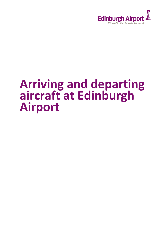

# **Arriving and departing aircraft at Edinburgh Airport**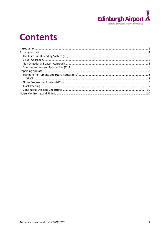

## **Contents**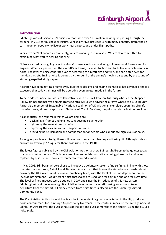

## <span id="page-2-0"></span>**Introduction**

<span id="page-2-1"></span>Edinburgh Airport is Scotland's busiest airport with over 12.3 million passengers passing through the terminal in 2016 for business or leisure. Whilst air travel provides us with many benefits, aircraft noise can impact on people who live or work near airports and under flight paths.

Whilst we can't eliminate it completely, we are working to minimise it. We are also committed to explaining what you're hearing and why.

Noise is caused by air going over the aircraft's fuselage (body) and wings - known as airframe - and its engines. When air passes over the aircraft's airframe, it causes friction and turbulence, which results in noise. The level of noise generated varies according to aircraft size and type, and can differ even for identical aircraft. Engine noise is created by the sound of the engine's moving parts and by the sound of air being expelled at high speed.

Aircraft have been getting progressively quieter as designs and engine technology has advanced and it is expected that today's airlines will be operating even quieter models in the future.

To help address noise, we work collaboratively with the Civil Aviation Authority who set the Airspace Policy, airlines themselves and Air Traffic Control (ATC) who advise the aircraft where to fly. Edinburgh Airport is a member of Sustainable Aviation, a coalition of UK aviation stakeholders spanning aircraft manufacturers, airlines, airports and National Air Traffic Services, the principal air navigation provider.

As an industry, the four main things we are doing are:

- designing airframes and engines to reduce noise generation
- tightening the regulations on noise
- improving the way aircraft and airports operate
- providing noise insulation and compensation for people who experience high levels of noise.

As long as people want to fly, there will be noise from aircraft landing and taking off. Although today's aircraft are typically 75% quieter than those used in the 1960s.

The latest figures published by the Civil Aviation Authority show Edinburgh Airport to be quieter today than any point in the past. This is because older and noisier aircraft are being phased out and being replaced by quieter, and more environmentally friendly, models.

In May 2006, Edinburgh Airport chose to introduce a voluntary system of noise fining, in line with those operated by Heathrow, Gatwick and Stansted. Any aircraft that breaks the stated noise thresholds set down by the UK Government is now automatically fined, with the level of the fine dependent on the level of infringement. Two different noise thresholds are used, one for daytime and one for night time. The level of fines imposed were doubled in 2007 and since the introduction of this new system, Edinburgh Airport has seen a significant fall in the number of aircraft making excessive noise on departure from the airport. All money raised from noise fines is placed into the Edinburgh Airport Community Fund.

The Civil Aviation Authority, which acts as the independent regulator of aviation in the UK, produces noise contour maps for Edinburgh Airport every five years. These contours measure the average noise at Edinburgh Airport over the busiest hours of the day and busiest months at the airport, using the dB. Leq noise scale.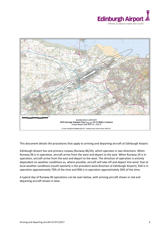



This document details the procedures that apply to arriving and departing aircraft at Edinburgh Airport.

Edinburgh Airport has one primary runway (Runway 06/24), which operates in two directions. When Runway 06 is in operation, aircraft arrive from the west and depart to the east. When Runway 24 is in operation, aircraft arrive from the east and depart to the west. The direction of operation is entirely dependent on weather conditions as, where possible, aircraft will take off and depart into wind. Due to local weather conditions (south-westerly is the prevalent wind direction at Edinburgh Airport), R24 is in operation approximately 70% of the time and R06 is in operation approximately 30% of the time.

A typical day of Runway 06 operations can be seen below, with arriving aircraft shown in red and departing aircraft shown in blue.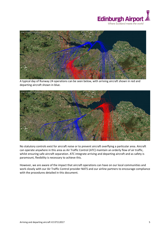



A typical day of Runway 24 operations can be seen below, with arriving aircraft shown in red and departing aircraft shown in blue.



No statutory controls exist for aircraft noise or to prevent aircraft overflying a particular area. Aircraft can operate anywhere in this area as Air Traffic Control (ATC) maintain an orderly flow of air traffic, whilst ensuring safe aircraft separation. ATC integrate arriving and departing aircraft and as safety is paramount, flexibility is necessary to achieve this.

However, we are aware of the impact that aircraft operations can have on our local communities and work closely with our Air Traffic Control provider NATS and our airline partners to encourage compliance with the procedures detailed in this document.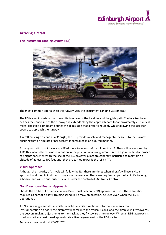

## **Arriving aircraft**

## <span id="page-5-0"></span>**The Instrument Landing System (ILS)**



The most common approach to the runway uses the Instrument Landing System (ILS).

The ILS is a radio system that transmits two beams, the localiser and the glide path. The localiser beam defines the centreline of the runway and extends along the approach path for approximately 20 nautical miles. The glide path beam defines the glide slope that aircraft should fly while following the localiser course to approach the runway.

Aircraft arriving descend at a 3° angle, the ILS provides a safe and manageable descent to the runway ensuring that an aircraft's final descent is controlled in an assured manner.

Arriving aircraft do not have a specified route to follow before joining the ILS. They will be vectored by ATC, this means there is more variation in the position of arriving aircraft. Aircraft join the final approach at heights consistent with the use of the ILS, however pilots are generally instructed to maintain an altitude of at least 2,500 feet until they are turned towards the ILS by ATC.

## <span id="page-5-1"></span>**Visual Approach**

Although the majority of arrivals will follow the ILS, there are times when aircraft will use a visual approach and the pilot will land using visual references. These are required as part of a pilot's training schedule and will be authorised by, and under the control of, Air Traffic Control.

## <span id="page-5-2"></span>**Non Directional Beacon Approach**

Should the ILS be out of service, a Non Directional Beacon (NDB) approach is used. These are also required as part of a pilot's training schedule so may, on occasion, be used even when the ILS is operational.

An NDB is a single aerial transmitter which transmits directional information to an aircraft. Instrumentation on board the aircraft will home into the transmissions, and the aircrew will fly towards the beacon, making adjustments to the track as they fly towards the runway. When an NDB approach is used, aircraft are positioned approximately five degrees east of the ILS localiser.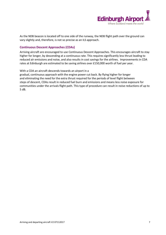<span id="page-6-0"></span>

As the NDB beacon is located off to one side of the runway, the NDB flight path over the ground can vary slightly and, therefore, is not so precise as an ILS approach.

## **Continuous Descent Approaches (CDAs)**

Arriving aircraft are encouraged to use Continuous Descent Approaches. This encourages aircraft to stay higher for longer, by descending at a continuous rate. This requires significantly less thrust leading to reduced air emissions and noise, and also results in cost savings for the airlines. Improvements in CDA rates at Edinburgh are estimated to be saving airlines over £150,000 worth of fuel per year.

#### With a CDA an aircraft descends towards an airport in a

gradual, continuous approach with the engine power cut back. By flying higher for longer and eliminating the need for the extra thrust required for the periods of level flight between steps of descent, CDAs result in reduced fuel burn and emissions and means less noise exposure for communities under the arrivals flight path. This type of procedure can result in noise reductions of up to 5 dB.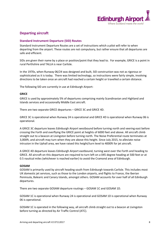

## <span id="page-7-0"></span>**Departing aircraft**

## <span id="page-7-1"></span>**Standard Instrument Departure (SID) Routes**

Standard Instrument Departure Routes are a set of instructions which a pilot will refer to when departing from the airport. These routes are not compulsory, but rather ensure that all departures are safe and efficient.

SIDs are given their name by a place or position/point that they lead to. For example, GRICE is a point in rural Perthshire and TALLA is near Carlisle.

In the 1970s, when Runway 06/24 was designed and built, SID construction was not as rigorous or sophisticated as it is today. There was limited technology, so instructions were fairly simple, involving directions to be taken once an aircraft had reached a certain height or travelled a certain distance.

<span id="page-7-2"></span>The following SID are currently in use at Edinburgh Airport:

## **GRICE**

GRICE is used by approximately 5% of departures comprising mainly Scandinavian and Highland and Islands services and occasionally Middle East aircraft.

There are two separate GRICE departures – GRICE 3C and GRICE 4D.

GRICE 3C is operational when Runway 24 is operational and GRICE 4D is operational when Runway 06 is operational.

A GRICE 3C departure leaves Edinburgh Airport westbound before turning north and veering east before crossing the Forth and overflying the GRICE point at heights of 6000 feet and above. All aircraft climb straight out to a beacon at Livingston before turning north. The Noise Preferential route terminates at 3,000ft, and aircraft may turn when they are above this height. Since July 2015, to alleviate noise intrusion in the Uphall area, we have raised this height/turn level to 4000ft for jet aircraft.

A GRICE 4D departure leaves Edinburgh Airport eastbound, turning west over the Forth and heading to GRICE. All aircraft on this departure are required to turn left on a 045 degree heading at 500 feet or at 0.5 nautical miles (whichever is reached earlier) to avoid the Cramond area of Edinburgh.

## **GOSAM**

GOSAM is primarily used by aircraft heading south from Edinburgh towards Carlisle. This includes most UK domestic jet services, such as those to the London airports, and flights to France, the Iberian Peninsula, Balearic and Canary Islands, amongst others. GOSAM accounts for over half of all Edinburgh departures.

There are two separate GOSAM departure routings – GOSAM 1C and GOSAM 1D.

GOSAM 1C is operational when Runway 24 is operational and GOSAM 1D is operational when Runway 06 is operational.

GOSAM 1C is operated in the following way, all aircraft climb straight out to a beacon at Livingston before turning as directed by Air Traffic Control (ATC).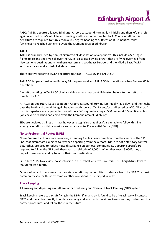

A GOSAM 1D departure leaves Edinburgh Airport eastbound, turning left initially and then left and left again over the Forth/South Fife and heading south-west or as directed by ATC. All aircraft on this departure are required to turn left on a 045 degree heading at 500 feet or at 0.5 nautical miles (whichever is reached earlier) to avoid the Cramond area of Edinburgh.

#### **TALLA**

TALLA is primarily used by non-jet aircraft to all destinations except north. This includes Aer Lingus flights to Ireland and Flybe all over the UK. It is also used by jet aircraft that are flying overhead from Newcastle to destinations in northern, eastern and southeast Europe, and the Middle East. TALLA accounts for around a third of all departures.

There are two separate TALLA departure routings – TALLA 5C and TALLA 5D.

TALLA 5C is operational when Runway 24 is operational and TALLA 5D is operational when Runway 06 is operational.

Aircraft operating on TALLA 5C climb straight out to a beacon at Livingston before turning left or as directed by ATC.

A TALLA 5D departure leaves Edinburgh Airport eastbound, turning left initially (as below) and then right over the Forth and then right again heading south towards TALLA and/or as directed by ATC. All aircraft on this departure are required to turn left on a 045 degree heading at 500 feet or at 0.5 nautical miles (whichever is reached earlier) to avoid the Cramond area of Edinburgh.

SIDs are depicted as lines on maps however recognising that aircraft are unable to follow this line exactly, aircraft fly within a corridor known as a Noise Preferential Route (NPR).

## <span id="page-8-0"></span>**Noise Preferential Routes (NPR)**

Noise Preferential Routes are corridors, extending 1 mile in each direction from the centre of the SID line, that aircraft are expected to fly when departing from the airport. NPR are not a statutory control but, rather, are used to reduce noise disturbance on our local communities. Departing aircraft are required to follow the NPR until they reach an altitude of 3,000ft. When they reach 3,000ft they can depart these routes and fly towards their final destination.

Since July 2015, to alleviate noise intrusion in the Uphall area, we have raised this height/turn level to 4000ft for jet aircraft.

On occasion, and to ensure aircraft safety, aircraft may be permitted to deviate from the NRP. The most common reason for this is extreme weather conditions in the airport vicinity.

## <span id="page-8-1"></span>**Track keeping**

All arriving and departing aircraft are monitored using our Noise and Track Keeping (NTK) system.

Track keeping refers to aircraft flying in the NPRs. If an aircraft is found to be off-track, we will contact NATS and the airline directly to understand why and work with the airline to ensure they understand the correct procedures and follow these in the future.